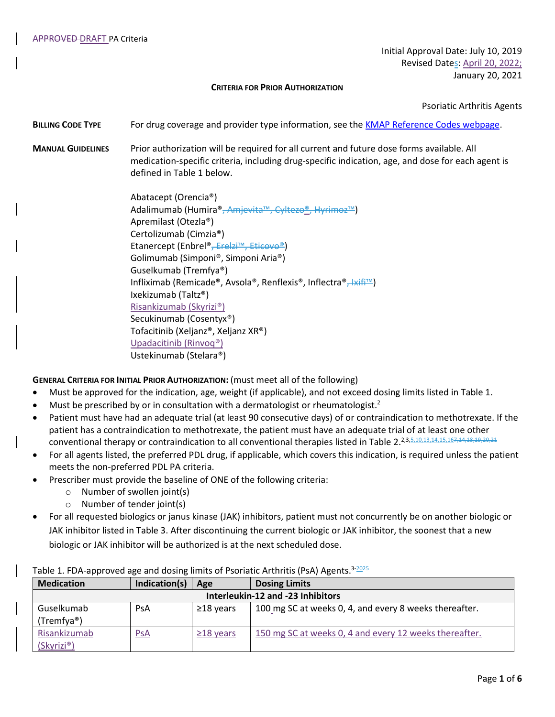Initial Approval Date: July 10, 2019 Revised Dates: April 20, 2022; January 20, 2021

#### **CRITERIA FOR PRIOR AUTHORIZATION**

Psoriatic Arthritis Agents

- **BILLING CODE TYPE** For drug coverage and provider type information, see the [KMAP Reference Codes webpage.](https://www.kmap-state-ks.us/Provider/PRICING/RefCode.asp)
- **MANUAL GUIDELINES** Prior authorization will be required for all current and future dose forms available. All medication-specific criteria, including drug-specific indication, age, and dose for each agent is defined in Table 1 below.

Abatacept (Orencia®) Adalimumab (Humira®<del>, Amjevita™, Cyltezo®, Hyrimoz™</del>) Apremilast (Otezla®) Certolizumab (Cimzia®) Etanercept (Enbrel®, Erelzi™, Eticovo®) Golimumab (Simponi®, Simponi Aria®) Guselkumab (Tremfya®) Infliximab (Remicade®, Avsola®, Renflexis®, Inflectra®<del>, Ixifi™</del>) Ixekizumab (Taltz®) Risankizumab (Skyrizi®) Secukinumab (Cosentyx®) Tofacitinib (Xeljanz®, Xeljanz XR®) Upadacitinib (Rinvoq®) Ustekinumab (Stelara®)

**GENERAL CRITERIA FOR INITIAL PRIOR AUTHORIZATION:** (must meet all of the following)

- Must be approved for the indication, age, weight (if applicable), and not exceed dosing limits listed in Table 1.
- $\bullet$  Must be prescribed by or in consultation with a dermatologist or rheumatologist.<sup>2</sup>
- Patient must have had an adequate trial (at least 90 consecutive days) of or contraindication to methotrexate. If the patient has a contraindication to methotrexate, the patient must have an adequate trial of at least one other conventional therapy or contraindication to all conventional therapies listed in Table 2.<sup>2,3,5,10,13,14,15,167,44,18,19,20,21</sup>
- For all agents listed, the preferred PDL drug, if applicable, which covers this indication, is required unless the patient meets the non-preferred PDL PA criteria.
- Prescriber must provide the baseline of ONE of the following criteria:
	- o Number of swollen joint(s)
	- o Number of tender joint(s)
- For all requested biologics or janus kinase (JAK) inhibitors, patient must not concurrently be on another biologic or JAK inhibitor listed in Table 3. After discontinuing the current biologic or JAK inhibitor, the soonest that a new biologic or JAK inhibitor will be authorized is at the next scheduled dose.

| <b>Medication</b>                 | Indication(s) | Age             | <b>Dosing Limits</b>                                   |  |  |
|-----------------------------------|---------------|-----------------|--------------------------------------------------------|--|--|
| Interleukin-12 and -23 Inhibitors |               |                 |                                                        |  |  |
| Guselkumab                        | PsA           | $\geq$ 18 years | 100 mg SC at weeks 0, 4, and every 8 weeks thereafter. |  |  |
| (Tremfya®)                        |               |                 |                                                        |  |  |
| Risankizumab                      | <u>PsA</u>    | $\geq$ 18 years | 150 mg SC at weeks 0, 4 and every 12 weeks thereafter. |  |  |
| (Skyrizi®)                        |               |                 |                                                        |  |  |

# Table 1. FDA-approved age and dosing limits of Psoriatic Arthritis (PsA) Agents.<sup>3-2025</sup>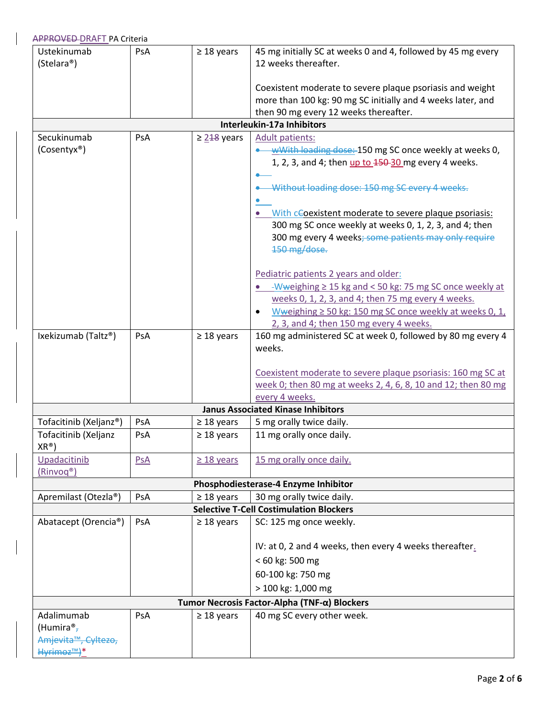| Coexistent moderate to severe plaque psoriasis and weight     |
|---------------------------------------------------------------|
| more than 100 kg: 90 mg SC initially and 4 weeks later, and   |
|                                                               |
|                                                               |
|                                                               |
| wWith loading dose: 150 mg SC once weekly at weeks 0,         |
| 1, 2, 3, and 4; then up to 150-30 mg every 4 weeks.           |
|                                                               |
| -Without loading dose: 150 mg SC every 4 weeks.               |
|                                                               |
| With cCoexistent moderate to severe plaque psoriasis:         |
| 300 mg SC once weekly at weeks 0, 1, 2, 3, and 4; then        |
| 300 mg every 4 weeks; some patients may only require          |
|                                                               |
|                                                               |
|                                                               |
| -Wweighing $\geq$ 15 kg and < 50 kg: 75 mg SC once weekly at  |
| weeks 0, 1, 2, 3, and 4; then 75 mg every 4 weeks.            |
| Wweighing $\geq$ 50 kg: 150 mg SC once weekly at weeks 0, 1,  |
|                                                               |
|                                                               |
| 160 mg administered SC at week 0, followed by 80 mg every 4   |
|                                                               |
|                                                               |
| Coexistent moderate to severe plaque psoriasis: 160 mg SC at  |
| week 0; then 80 mg at weeks 2, 4, 6, 8, 10 and 12; then 80 mg |
|                                                               |
|                                                               |
|                                                               |
|                                                               |
|                                                               |
|                                                               |
|                                                               |
|                                                               |
|                                                               |
|                                                               |
|                                                               |
|                                                               |
| IV: at 0, 2 and 4 weeks, then every 4 weeks thereafter.       |
|                                                               |
|                                                               |
|                                                               |
|                                                               |
|                                                               |
|                                                               |
|                                                               |
|                                                               |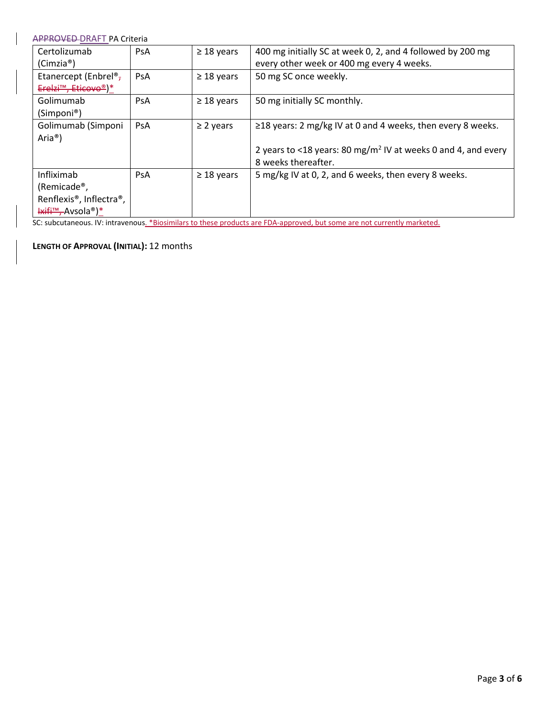| Certolizumab                                      | PsA | $\geq$ 18 years | 400 mg initially SC at week 0, 2, and 4 followed by 200 mg                |
|---------------------------------------------------|-----|-----------------|---------------------------------------------------------------------------|
| (Cimzia®)                                         |     |                 | every other week or 400 mg every 4 weeks.                                 |
| Etanercept (Enbrel <sup>®</sup> ,                 | PsA | $\geq$ 18 years | 50 mg SC once weekly.                                                     |
| Erelzi <sup>™</sup> , Eticovo®)*                  |     |                 |                                                                           |
| Golimumab                                         | PsA | $\geq$ 18 years | 50 mg initially SC monthly.                                               |
| (Simponi®)                                        |     |                 |                                                                           |
| Golimumab (Simponi                                | PsA | $\geq$ 2 years  | ≥18 years: 2 mg/kg IV at 0 and 4 weeks, then every 8 weeks.               |
| Aria <sup>®</sup> )                               |     |                 |                                                                           |
|                                                   |     |                 | 2 years to <18 years: 80 mg/m <sup>2</sup> IV at weeks 0 and 4, and every |
|                                                   |     |                 | 8 weeks thereafter.                                                       |
| Infliximab                                        | PsA | $\geq$ 18 years | 5 mg/kg IV at 0, 2, and 6 weeks, then every 8 weeks.                      |
| (Remicade®,                                       |     |                 |                                                                           |
| Renflexis <sup>®</sup> , Inflectra <sup>®</sup> , |     |                 |                                                                           |
| <b>Hxifi™, Avsola®)*</b>                          |     |                 |                                                                           |

SC: subcutaneous. IV: intravenous. \*Biosimilars to these products are FDA-approved, but some are not currently marketed.

**LENGTH OF APPROVAL (INITIAL):** 12 months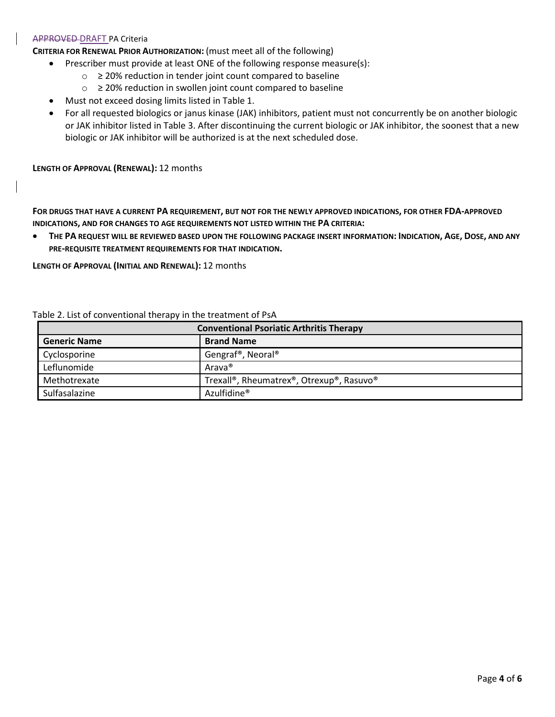### APPROVED DRAFT PA Criteria

**CRITERIA FOR RENEWAL PRIOR AUTHORIZATION:** (must meet all of the following)

- Prescriber must provide at least ONE of the following response measure(s):
	- o ≥ 20% reduction in tender joint count compared to baseline
	- o ≥ 20% reduction in swollen joint count compared to baseline
- Must not exceed dosing limits listed in Table 1.
- For all requested biologics or janus kinase (JAK) inhibitors, patient must not concurrently be on another biologic or JAK inhibitor listed in Table 3. After discontinuing the current biologic or JAK inhibitor, the soonest that a new biologic or JAK inhibitor will be authorized is at the next scheduled dose.

**LENGTH OF APPROVAL (RENEWAL):** 12 months

**FOR DRUGS THAT HAVE A CURRENT PA REQUIREMENT, BUT NOT FOR THE NEWLY APPROVED INDICATIONS, FOR OTHER FDA-APPROVED INDICATIONS, AND FOR CHANGES TO AGE REQUIREMENTS NOT LISTED WITHIN THE PA CRITERIA:**

• THE PA REQUEST WILL BE REVIEWED BASED UPON THE FOLLOWING PACKAGE INSERT INFORMATION: INDICATION, AGE, DOSE, AND ANY **PRE-REQUISITE TREATMENT REQUIREMENTS FOR THAT INDICATION.**

**LENGTH OF APPROVAL (INITIAL AND RENEWAL):** 12 months

| <b>Conventional Psoriatic Arthritis Therapy</b> |                                            |
|-------------------------------------------------|--------------------------------------------|
| <b>Generic Name</b>                             | <b>Brand Name</b>                          |
| Cyclosporine                                    | Gengraf <sup>®</sup> , Neoral <sup>®</sup> |
| Leflunomide                                     | Arava <sup>®</sup>                         |
| Methotrexate                                    | Trexall®, Rheumatrex®, Otrexup®, Rasuvo®   |
| Sulfasalazine                                   | Azulfidine <sup>®</sup>                    |

Table 2. List of conventional therapy in the treatment of PsA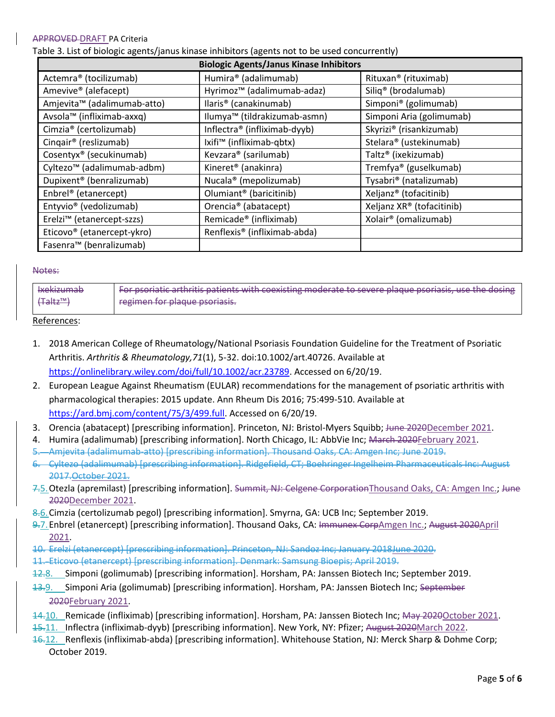### APPROVED DRAFT PA Criteria

Table 3. List of biologic agents/janus kinase inhibitors (agents not to be used concurrently)

| <b>Biologic Agents/Janus Kinase Inhibitors</b> |                                          |                                    |  |  |  |
|------------------------------------------------|------------------------------------------|------------------------------------|--|--|--|
| Actemra <sup>®</sup> (tocilizumab)             | Humira® (adalimumab)                     | Rituxan <sup>®</sup> (rituximab)   |  |  |  |
| Amevive® (alefacept)                           | Hyrimoz <sup>™</sup> (adalimumab-adaz)   | Siliq <sup>®</sup> (brodalumab)    |  |  |  |
| Amjevita <sup>™</sup> (adalimumab-atto)        | llaris <sup>®</sup> (canakinumab)        | Simponi® (golimumab)               |  |  |  |
| Avsola™ (infliximab-axxq)                      | Ilumya™ (tildrakizumab-asmn)             | Simponi Aria (golimumab)           |  |  |  |
| Cimzia <sup>®</sup> (certolizumab)             | Inflectra <sup>®</sup> (infliximab-dyyb) | Skyrizi® (risankizumab)            |  |  |  |
| Cingair <sup>®</sup> (reslizumab)              | Ixifi <sup>™</sup> (infliximab-qbtx)     | Stelara® (ustekinumab)             |  |  |  |
| Cosentyx <sup>®</sup> (secukinumab)            | Kevzara® (sarilumab)                     | Taltz <sup>®</sup> (ixekizumab)    |  |  |  |
| Cyltezo <sup>™</sup> (adalimumab-adbm)         | Kineret <sup>®</sup> (anakinra)          | Tremfya <sup>®</sup> (guselkumab)  |  |  |  |
| Dupixent <sup>®</sup> (benralizumab)           | Nucala <sup>®</sup> (mepolizumab)        | Tysabri® (natalizumab)             |  |  |  |
| Enbrel <sup>®</sup> (etanercept)               | Olumiant <sup>®</sup> (baricitinib)      | Xeljanz <sup>®</sup> (tofacitinib) |  |  |  |
| Entyvio <sup>®</sup> (vedolizumab)             | Orencia <sup>®</sup> (abatacept)         | Xeljanz XR® (tofacitinib)          |  |  |  |
| Erelzi <sup>™</sup> (etanercept-szzs)          | Remicade <sup>®</sup> (infliximab)       | Xolair <sup>®</sup> (omalizumab)   |  |  |  |
| Eticovo <sup>®</sup> (etanercept-ykro)         | Renflexis <sup>®</sup> (infliximab-abda) |                                    |  |  |  |
| Fasenra <sup>™</sup> (benralizumab)            |                                          |                                    |  |  |  |

#### Notes:

| <b>Ixekizumab</b>                               | For psoriatic arthritis patients with coexisting moderate to severe plaque psoriasis, use the dosing |
|-------------------------------------------------|------------------------------------------------------------------------------------------------------|
| $\left($ Taltz <sup><math>\text{m}</math></sup> | regimen for plaque psoriasis.                                                                        |

References:

- 1. 2018 American College of Rheumatology/National Psoriasis Foundation Guideline for the Treatment of Psoriatic Arthritis. *Arthritis & Rheumatology,71*(1), 5-32. doi:10.1002/art.40726. Available at [https://onlinelibrary.wiley.com/doi/full/10.1002/acr.23789.](https://onlinelibrary.wiley.com/doi/full/10.1002/acr.23789) Accessed on 6/20/19.
- 2. European League Against Rheumatism (EULAR) recommendations for the management of psoriatic arthritis with pharmacological therapies: 2015 update. Ann Rheum Dis 2016; 75:499-510. Available at [https://ard.bmj.com/content/75/3/499.full.](https://ard.bmj.com/content/75/3/499.full) Accessed on 6/20/19.
- 3. Orencia (abatacept) [prescribing information]. Princeton, NJ: Bristol-Myers Squibb; June 2020December 2021.
- 4. Humira (adalimumab) [prescribing information]. North Chicago, IL: AbbVie Inc; March 2020February 2021.
- 5. Amjevita (adalimumab-atto) [prescribing information]. Thousand Oaks, CA: Amgen Inc; June 2019.
- 6. Cyltezo (adalimumab) [prescribing information]. Ridgefield, CT; Boehringer Ingelheim Pharmaceuticals Inc: August 2017.October 2021.
- 7.5. Otezla (apremilast) [prescribing information]. Summit, NJ: Celgene CorporationThousand Oaks, CA: Amgen Inc.; June 2020December 2021.
- 8.6.Cimzia (certolizumab pegol) [prescribing information]. Smyrna, GA: UCB Inc; September 2019.
- 9.7.Enbrel (etanercept) [prescribing information]. Thousand Oaks, CA: Immunex CorpAmgen Inc.; August 2020April 2021.
- 10. Erelzi (etanercept) [prescribing information]. Princeton, NJ: Sandoz Inc; January 2018June 2020.
- 11. Eticovo (etanercept) [prescribing information]. Denmark: Samsung Bioepis; April 2019.
- 12.8. Simponi (golimumab) [prescribing information]. Horsham, PA: Janssen Biotech Inc; September 2019.
- 13.9. Simponi Aria (golimumab) [prescribing information]. Horsham, PA: Janssen Biotech Inc; September 2020February 2021.
- 14.10. Remicade (infliximab) [prescribing information]. Horsham, PA: Janssen Biotech Inc; May 2020October 2021.
- 15.11. Inflectra (infliximab-dyyb) [prescribing information]. New York, NY: Pfizer; August 2020March 2022.
- 16.12. Renflexis (infliximab-abda) [prescribing information]. Whitehouse Station, NJ: Merck Sharp & Dohme Corp; October 2019.